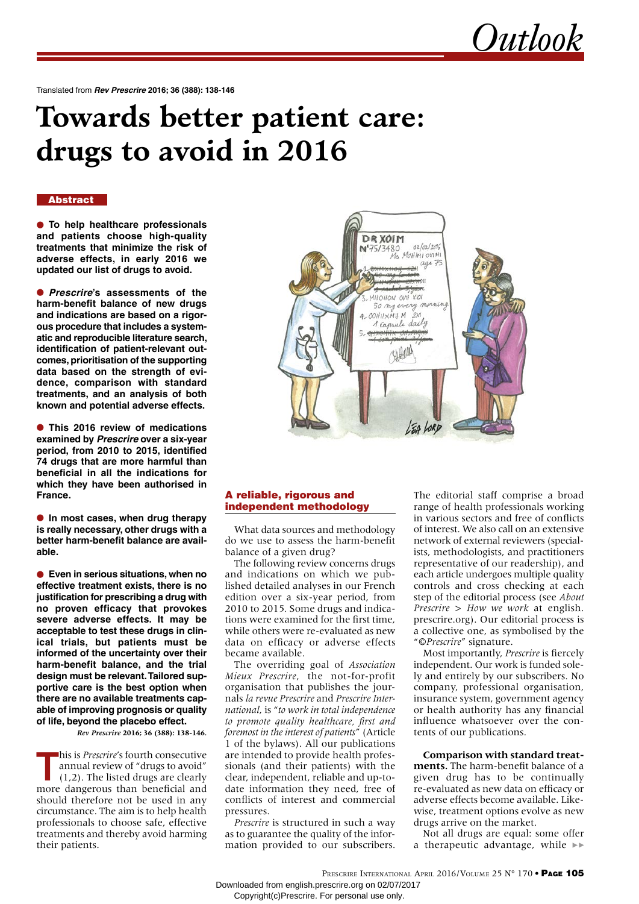*Outlook*

Translated from *Rev Prescrire* **2016; 36 (388): 138-146**

# **Towards better patient care: drugs to avoid in 2016**

#### **Abstract**

• **To help healthcare professionals and patients choose high-quality treatments that minimize the risk of adverse effects, in early 2016 we updated our list of drugs to avoid.**

• *Prescrire***'s assessments of the harm-benefit balance of new drugs and indications are based on a rigorous procedure that includes a systematic and reproducible literature search, identification of patient-relevant outcomes, prioritisation of the supporting data based on the strength of evidence, comparison with standard treatments, and an analysis of both known and potential adverse effects.**

• **This 2016 review of medications examined by** *Prescrire* **over a six-year period, from 2010 to 2015, identified 74 drugs that are more harmful than beneficial in all the indications for which they have been authorised in France.**

• **In most cases, when drug therapy is really necessary, other drugs with a better harm-benefit balance are available.** 

• **Even in serious situations, when no effective treatment exists, there is no justification for prescribing a drug with no proven efficacy that provokes severe adverse effects. It may be acceptable to test these drugs in clinical trials, but patients must be informed of the uncertainty over their harm-benefit balance, and the trial design must be relevant. Tailored supportive care is the best option when there are no available treatments capable of improving prognosis or quality of life, beyond the placebo effect.** 

*Rev Prescrire* **2016; 36 (388): 138-146.**

his is *Prescrire's* fourth consecutive<br>annual review of "drugs to avoid"<br>(1,2). The listed drugs are clearly<br>more dangarous than bongfield and annual review of "drugs to avoid" (1,2). The listed drugs are clearly more dangerous than beneficial and should therefore not be used in any circumstance. The aim is to help health professionals to choose safe, effective treatments and thereby avoid harming their patients.



#### A reliable, rigorous and independent methodology

What data sources and methodology do we use to assess the harm-benefit balance of a given drug?

The following review concerns drugs and indications on which we published detailed analyses in our French edition over a six-year period, from 2010 to 2015*.* Some drugs and indications were examined for the first time, while others were re-evaluated as new data on efficacy or adverse effects became available.

The overriding goal of *Association Mieux Prescrire*, the not-for-profit organisation that publishes the journals *la revue Prescrire* and *Prescrire International*, is "*to work in total independence to promote quality healthcare, first and foremost in the interest of patients*" (Article 1 of the bylaws). All our publications are intended to provide health professionals (and their patients) with the clear, independent, reliable and up-todate information they need, free of conflicts of interest and commercial pressures.

*Prescrire* is structured in such a way as to guarantee the quality of the information provided to our subscribers.

The editorial staff comprise a broad range of health professionals working in various sectors and free of conflicts of interest. We also call on an extensive network of external reviewers (specialists, methodologists, and practitioners representative of our readership), and each article undergoes multiple quality controls and cross checking at each step of the editorial process (see *About Prescrire* > *How we work* at english. prescrire.org). Our editorial process is a collective one, as symbolised by the "*©Prescrire*" signature.

Most importantly, *Prescrire* is fiercely independent. Our work is funded solely and entirely by our subscribers. No company, professional organisation, insurance system, government agency or health authority has any financial influence whatsoever over the contents of our publications.

**Comparison with standard treatments.** The harm-benefit balance of a given drug has to be continually re-evaluated as new data on efficacy or adverse effects become available. Likewise, treatment options evolve as new drugs arrive on the market.

Not all drugs are equal: some offer a therapeutic advantage, while  $\blacktriangleright$ 

PRESCRIRE INTERNATIONAL APRIL 2016/VOLUME 25 N° 170 • PAGE 105 Downloaded from english.prescrire.org on 02/07/2017 Copyright(c)Prescrire. For personal use only.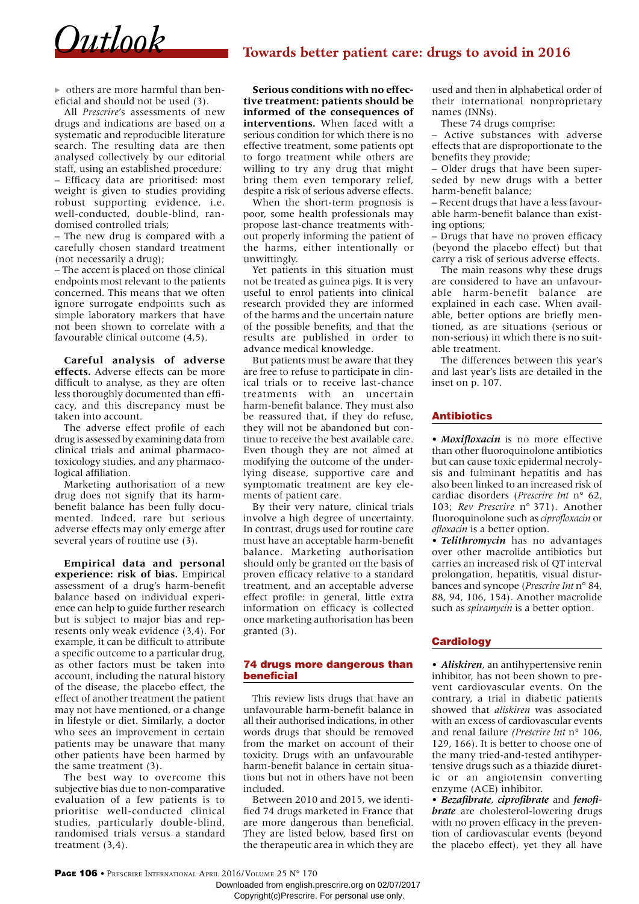

others are more harmful than beneficial and should not be used (3).

All *Prescrire*'s assessments of new drugs and indications are based on a systematic and reproducible literature search. The resulting data are then analysed collectively by our editorial staff, using an established procedure: – Efficacy data are prioritised: most weight is given to studies providing robust supporting evidence, i.e. well-conducted, double-blind, randomised controlled trials;

– The new drug is compared with a carefully chosen standard treatment (not necessarily a drug);

– The accent is placed on those clinical endpoints most relevant to the patients concerned. This means that we often ignore surrogate endpoints such as simple laboratory markers that have not been shown to correlate with a favourable clinical outcome (4,5).

**Careful analysis of adverse effects.** Adverse effects can be more difficult to analyse, as they are often less thoroughly documented than efficacy, and this discrepancy must be taken into account.

The adverse effect profile of each drug is assessed by examining data from clinical trials and animal pharmacotoxicology studies, and any pharmacological affiliation.

Marketing authorisation of a new drug does not signify that its harmbenefit balance has been fully documented. Indeed, rare but serious adverse effects may only emerge after several years of routine use (3).

**Empirical data and personal experience: risk of bias.** Empirical assessment of a drug's harm-benefit balance based on individual experience can help to guide further research but is subject to major bias and represents only weak evidence (3,4). For example, it can be difficult to attribute a specific outcome to a particular drug, as other factors must be taken into account, including the natural history of the disease, the placebo effect, the effect of another treatment the patient may not have mentioned, or a change in lifestyle or diet. Similarly, a doctor who sees an improvement in certain patients may be unaware that many other patients have been harmed by the same treatment (3).

The best way to overcome this subjective bias due to non-comparative evaluation of a few patients is to prioritise well-conducted clinical studies, particularly double-blind, randomised trials versus a standard treatment (3,4).

**Serious conditions with no effective treatment: patients should be informed of the consequences of interventions.** When faced with a serious condition for which there is no effective treatment, some patients opt to forgo treatment while others are willing to try any drug that might bring them even temporary relief, despite a risk of serious adverse effects.

When the short-term prognosis is poor, some health professionals may propose last-chance treatments without properly informing the patient of the harms, either intentionally or unwittingly.

Yet patients in this situation must not be treated as guinea pigs. It is very useful to enrol patients into clinical research provided they are informed of the harms and the uncertain nature of the possible benefits, and that the results are published in order to advance medical knowledge.

But patients must be aware that they are free to refuse to participate in clinical trials or to receive last-chance treatments with an uncertain harm-benefit balance. They must also be reassured that, if they do refuse, they will not be abandoned but continue to receive the best available care. Even though they are not aimed at modifying the outcome of the underlying disease, supportive care and symptomatic treatment are key elements of patient care.

By their very nature, clinical trials involve a high degree of uncertainty. In contrast, drugs used for routine care must have an acceptable harm-benefit balance. Marketing authorisation should only be granted on the basis of proven efficacy relative to a standard treatment, and an acceptable adverse effect profile: in general, little extra information on efficacy is collected once marketing authorisation has been granted (3).

#### 74 drugs more dangerous than beneficial

This review lists drugs that have an unfavourable harm-benefit balance in all their authorised indications, in other words drugs that should be removed from the market on account of their toxicity. Drugs with an unfavourable harm-benefit balance in certain situations but not in others have not been included.

Between 2010 and 2015, we identified 74 drugs marketed in France that are more dangerous than beneficial. They are listed below, based first on the therapeutic area in which they are

used and then in alphabetical order of their international nonproprietary names (INNs).

These 74 drugs comprise:

– Active substances with adverse effects that are disproportionate to the benefits they provide;

– Older drugs that have been superseded by new drugs with a better harm-benefit balance;

– Recent drugs that have a less favourable harm-benefit balance than existing options;

– Drugs that have no proven efficacy (beyond the placebo effect) but that carry a risk of serious adverse effects.

The main reasons why these drugs are considered to have an unfavourable harm-benefit balance are explained in each case. When available, better options are briefly mentioned, as are situations (serious or non-serious) in which there is no suitable treatment.

The differences between this year's and last year's lists are detailed in the inset on p. 107.

#### Antibiotics

• *Moxifloxacin* is no more effective than other fluoroquinolone antibiotics but can cause toxic epidermal necrolysis and fulminant hepatitis and has also been linked to an increased risk of cardiac disorders (*Prescrire Int* n° 62, 103; *Rev Prescrire* n° 371). Another fluoroquinolone such as *ciprofloxacin* or *ofloxacin* is a better option.

• *Telithromycin* has no advantages over other macrolide antibiotics but carries an increased risk of QT interval prolongation, hepatitis, visual disturbances and syncope (*Prescrire Int* n° 84, 88, 94, 106, 154). Another macrolide such as *spiramycin* is a better option.

#### **Cardiology**

• *Aliskiren*, an antihypertensive renin inhibitor, has not been shown to prevent cardiovascular events. On the contrary, a trial in diabetic patients showed that *aliskiren* was associated with an excess of cardiovascular events and renal failure *(Prescrire Int* n° 106, 129, 166). It is better to choose one of the many tried-and-tested antihypertensive drugs such as a thiazide diuretic or an angiotensin converting enzyme (ACE) inhibitor.

• *Bezafibrate*, *ciprofibrate* and *fenofibrate* are cholesterol-lowering drugs with no proven efficacy in the prevention of cardiovascular events (beyond the placebo effect), yet they all have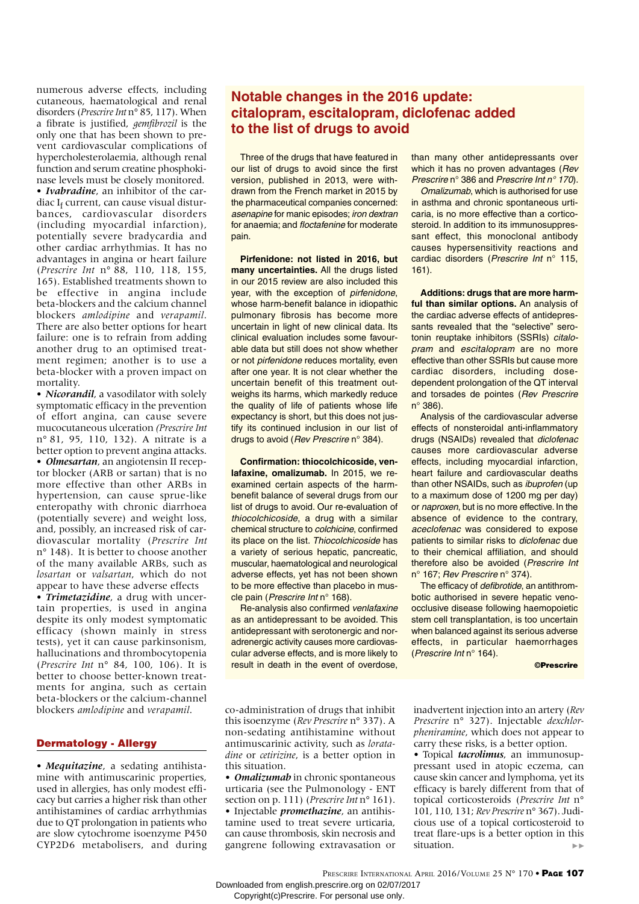numerous adverse effects, including cutaneous, haematological and renal disorders (*Prescrire Int* n° 85, 117). When a fibrate is justified, *gemfibrozil* is the only one that has been shown to prevent cardiovascular complications of hypercholesterolaemia, although renal function and serum creatine phosphokinase levels must be closely monitored. • *Ivabradine*, an inhibitor of the cardiac I<sub>f</sub> current, can cause visual disturbances, cardiovascular disorders (including myocardial infarction), potentially severe bradycardia and other cardiac arrhythmias. It has no advantages in angina or heart failure (*Prescrire Int* n° 88, 110, 118, 155, 165). Established treatments shown to be effective in angina include beta-blockers and the calcium channel blockers *amlodipine* and *verapamil*. There are also better options for heart failure: one is to refrain from adding another drug to an optimised treatment regimen; another is to use a beta-blocker with a proven impact on mortality.

• *Nicorandil*, a vasodilator with solely symptomatic efficacy in the prevention of effort angina, can cause severe mucocutaneous ulceration *(Prescrire Int* n° 81, 95, 110, 132). A nitrate is a better option to prevent angina attacks. • *Olmesartan*, an angiotensin II receptor blocker (ARB or sartan) that is no more effective than other ARBs in hypertension, can cause sprue-like enteropathy with chronic diarrhoea (potentially severe) and weight loss, and, possibly, an increased risk of cardiovascular mortality (*Prescrire Int*  n° 148). It is better to choose another of the many available ARBs, such as *losartan* or *valsartan*, which do not appear to have these adverse effects

• *Trimetazidine*, a drug with uncertain properties, is used in angina despite its only modest symptomatic efficacy (shown mainly in stress tests), yet it can cause parkinsonism, hallucinations and thrombocytopenia (*Prescrire Int* n° 84, 100, 106). It is better to choose better-known treatments for angina, such as certain beta-blockers or the calcium-channel blockers *amlodipine* and *verapamil*.

#### Dermatology - Allergy

• *Mequitazine*, a sedating antihistamine with antimuscarinic properties, used in allergies, has only modest efficacy but carries a higher risk than other antihistamines of cardiac arrhythmias due to QT prolongation in patients who are slow cytochrome isoenzyme P450 CYP2D6 metabolisers, and during

### **Notable changes in the 2016 update: citalopram, escitalopram, diclofenac added to the list of drugs to avoid**

Three of the drugs that have featured in our list of drugs to avoid since the first version, published in 2013, were withdrawn from the French market in 2015 by the pharmaceutical companies concerned: asenapine for manic episodes; iron dextran for anaemia; and floctafenine for moderate pain.

**Pirfenidone: not listed in 2016, but many uncertainties.** All the drugs listed in our 2015 review are also included this year, with the exception of pirfenidone, whose harm-benefit balance in idiopathic pulmonary fibrosis has become more uncertain in light of new clinical data. Its clinical evaluation includes some favourable data but still does not show whether or not pirfenidone reduces mortality, even after one year. It is not clear whether the uncertain benefit of this treatment outweighs its harms, which markedly reduce the quality of life of patients whose life expectancy is short, but this does not justify its continued inclusion in our list of drugs to avoid (Rev Prescrire n° 384).

**Confirmation: thiocolchicoside, venlafaxine, omalizumab.** In 2015, we reexamined certain aspects of the harmbenefit balance of several drugs from our list of drugs to avoid. Our re-evaluation of thiocolchicoside, a drug with a similar chemical structure to colchicine, confirmed its place on the list. Thiocolchicoside has a variety of serious hepatic, pancreatic, muscular, haematological and neurological adverse effects, yet has not been shown to be more effective than placebo in muscle pain (Prescrire Int n° 168).

Re-analysis also confirmed venlafaxine as an antidepressant to be avoided. This antidepressant with serotonergic and noradrenergic activity causes more cardiovascular adverse effects, and is more likely to result in death in the event of overdose,

than many other antidepressants over which it has no proven advantages (Rev Prescrire n° 386 and Prescrire Int n° 170).

Omalizumab, which is authorised for use in asthma and chronic spontaneous urticaria, is no more effective than a corticosteroid. In addition to its immunosuppressant effect, this monoclonal antibody causes hypersensitivity reactions and cardiac disorders (Prescrire Int n° 115, 161).

**Additions: drugs that are more harmful than similar options.** An analysis of the cardiac adverse effects of antidepressants revealed that the "selective" serotonin reuptake inhibitors (SSRIs) citalopram and escitalopram are no more effective than other SSRIs but cause more cardiac disorders, including dosedependent prolongation of the QT interval and torsades de pointes (Rev Prescrire n° 386).

Analysis of the cardiovascular adverse effects of nonsteroidal anti-inflammatory drugs (NSAIDs) revealed that diclofenac causes more cardiovascular adverse effects, including myocardial infarction, heart failure and cardiovascular deaths than other NSAIDs, such as ibuprofen (up to a maximum dose of 1200 mg per day) or naproxen, but is no more effective. In the absence of evidence to the contrary, aceclofenac was considered to expose patients to similar risks to diclofenac due to their chemical affiliation, and should therefore also be avoided (Prescrire Int n° 167; Rev Prescrire n° 374).

The efficacy of defibrotide, an antithrombotic authorised in severe hepatic venoocclusive disease following haemopoietic stem cell transplantation, is too uncertain when balanced against its serious adverse effects, in particular haemorrhages (Prescrire Int n° 164).

#### ©Prescrire

co-administration of drugs that inhibit this isoenzyme (*Rev Prescrire* n° 337). A non-sedating antihistamine without antimuscarinic activity, such as *loratadine* or *cetirizine*, is a better option in this situation.

• *Omalizumab* in chronic spontaneous urticaria (see the Pulmonology - ENT section on p. 111) (*Prescrire Int* n° 161). • Injectable *promethazine*, an antihistamine used to treat severe urticaria, can cause thrombosis, skin necrosis and gangrene following extravasation or

inadvertent injection into an artery (*Rev Prescrire* n° 327). Injectable *dexchlorpheniramine*, which does not appear to carry these risks, is a better option.

• Topical *tacrolimus*, an immunosuppressant used in atopic eczema, can cause skin cancer and lymphoma, yet its efficacy is barely different from that of topical corticosteroids (*Prescrire Int* n° 101, 110, 131; *Rev Prescrire* n° 367). Judicious use of a topical corticosteroid to treat flare-ups is a better option in this situation.  $\mathbf{b}\in\mathbf{b}$ 

PRESCRIRE INTERNATIONAL APRIL 2016/VOLUME 25 N° 170 • PAGE 107 Downloaded from english.prescrire.org on 02/07/2017

Copyright(c)Prescrire. For personal use only.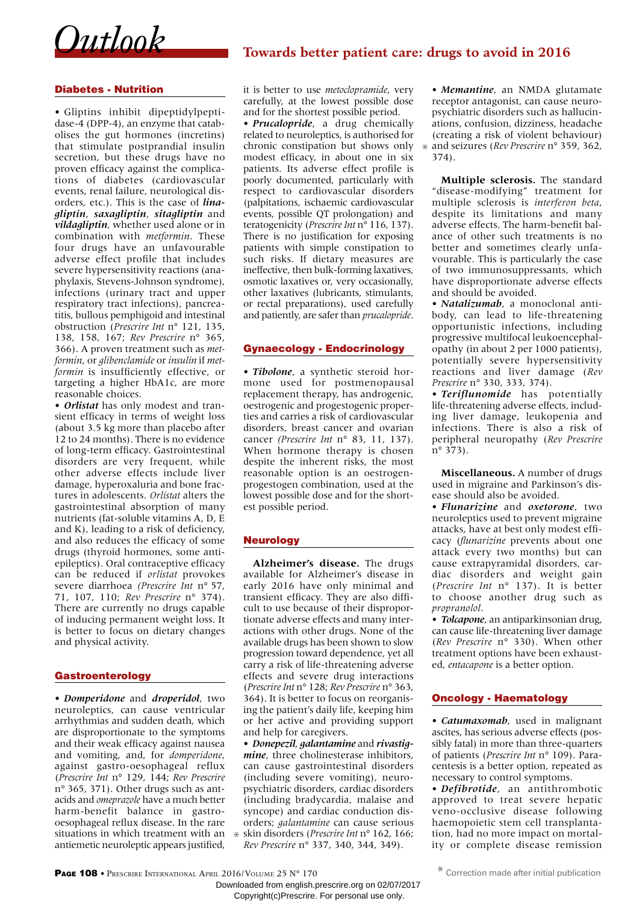

#### Diabetes - Nutrition

• Gliptins inhibit dipeptidylpeptidase-4 (DPP-4), an enzyme that catabolises the gut hormones (incretins) that stimulate postprandial insulin secretion, but these drugs have no proven efficacy against the complications of diabetes (cardiovascular events, renal failure, neurological disorders, etc.). This is the case of *linagliptin*, *saxagliptin*, *sitagliptin* and *vildagliptin*, whether used alone or in combination with *metformin*. These four drugs have an unfavourable adverse effect profile that includes severe hypersensitivity reactions (anaphylaxis, Stevens-Johnson syndrome), infections (urinary tract and upper respiratory tract infections), pancreatitis, bullous pemphigoid and intestinal obstruction (*Prescrire Int* n° 121, 135, 138, 158, 167; *Rev Prescrire* n° 365, 366). A proven treatment such as *metformin*, or *glibenclamide* or *insulin* if *metformin* is insufficiently effective, or targeting a higher HbA1c, are more reasonable choices.

• *Orlistat* has only modest and transient efficacy in terms of weight loss (about 3.5 kg more than placebo after 12 to 24 months). There is no evidence of long-term efficacy. Gastrointestinal disorders are very frequent, while other adverse effects include liver damage, hyperoxaluria and bone fractures in adolescents. *Orlistat* alters the gastrointestinal absorption of many nutrients (fat-soluble vitamins A, D, E and K), leading to a risk of deficiency, and also reduces the efficacy of some drugs (thyroid hormones, some antiepileptics). Oral contraceptive efficacy can be reduced if *orlistat* provokes severe diarrhoea *(Prescrire Int* n° 57, 71, 107, 110; *Rev Prescrire* n° 374). There are currently no drugs capable of inducing permanent weight loss. It is better to focus on dietary changes and physical activity.

#### Gastroenterology

• *Domperidone* and *droperidol*, two neuroleptics, can cause ventricular arrhythmias and sudden death, which are disproportionate to the symptoms and their weak efficacy against nausea and vomiting, and, for *domperidone*, against gastro-oesophageal reflux (*Prescrire Int* n° 129, 144; *Rev Prescrire* n° 365, 371). Other drugs such as antacids and *omeprazole* have a much better harm-benefit balance in gastrooesophageal reflux disease. In the rare situations in which treatment with an  $*$ antiemetic neuroleptic appears justified,

it is better to use *metoclopramide*, very carefully, at the lowest possible dose and for the shortest possible period.

• *Prucalopride*, a drug chemically related to neuroleptics, is authorised for chronic constipation but shows only modest efficacy, in about one in six patients. Its adverse effect profile is poorly documented, particularly with respect to cardiovascular disorders (palpitations, ischaemic cardiovascular events, possible QT prolongation) and teratogenicity (*Prescrire Int* n° 116, 137). There is no justification for exposing patients with simple constipation to such risks. If dietary measures are ineffective, then bulk-forming laxatives, osmotic laxatives or, very occasionally, other laxatives (lubricants, stimulants, or rectal preparations), used carefully and patiently, are safer than *prucalopride*.

#### Gynaecology - Endocrinology

• *Tibolone*, a synthetic steroid hormone used for postmenopausal replacement therapy, has androgenic, oestrogenic and progestogenic properties and carries a risk of cardiovascular disorders, breast cancer and ovarian cancer *(Prescrire Int* n° 83, 11, 137). When hormone therapy is chosen despite the inherent risks, the most reasonable option is an oestrogenprogestogen combination, used at the lowest possible dose and for the shortest possible period.

#### Neurology

**Alzheimer's disease.** The drugs available for Alzheimer's disease in early 2016 have only minimal and transient efficacy. They are also difficult to use because of their disproportionate adverse effects and many interactions with other drugs. None of the available drugs has been shown to slow progression toward dependence, yet all carry a risk of life-threatening adverse effects and severe drug interactions (*Prescrire Int* n° 128; *Rev Prescrire* n° 363, 364). It is better to focus on reorganising the patient's daily life, keeping him or her active and providing support and help for caregivers.

• *Donepezil*, *galantamine* and *rivastigmine*, three cholinesterase inhibitors, can cause gastrointestinal disorders (including severe vomiting), neuropsychiatric disorders, cardiac disorders (including bradycardia, malaise and syncope) and cardiac conduction disorders; *galantamine* can cause serious skin disorders (*Prescrire Int* n° 162, 166; *Rev Prescrire* n° 337, 340, 344, 349).

• *Memantine*, an NMDA glutamate receptor antagonist, can cause neuropsychiatric disorders such as hallucinations, confusion, dizziness, headache (creating a risk of violent behaviour) and seizures (*Rev Prescrire* n° 359, 362, \* 374).

**Multiple sclerosis.** The standard "disease-modifying" treatment for multiple sclerosis is *interferon beta*, despite its limitations and many adverse effects. The harm-benefit balance of other such treatments is no better and sometimes clearly unfavourable. This is particularly the case of two immunosuppressants, which have disproportionate adverse effects and should be avoided.

• *Natalizumab*, a monoclonal antibody, can lead to life-threatening opportunistic infections, including progressive multifocal leukoencephalopathy (in about 2 per 1000 patients), potentially severe hypersensitivity reactions and liver damage (*Rev Prescrire* n° 330, 333, 374).

• *Teriflunomide* has potentially life-threatening adverse effects, including liver damage, leukopenia and infections. There is also a risk of peripheral neuropathy (*Rev Prescrire* n° 373).

**Miscellaneous.** A number of drugs used in migraine and Parkinson's disease should also be avoided.

• *Flunarizine* and *oxetorone*, two neuroleptics used to prevent migraine attacks, have at best only modest efficacy (*flunarizine* prevents about one attack every two months) but can cause extrapyramidal disorders, cardiac disorders and weight gain (*Prescrire Int* n° 137). It is better to choose another drug such as *propranolol*.

• *Tolcapone*, an antiparkinsonian drug, can cause life-threatening liver damage (*Rev Prescrire* n° 330). When other treatment options have been exhausted, *entacapone* is a better option.

#### Oncology - Haematology

• *Catumaxomab*, used in malignant ascites, has serious adverse effects (possibly fatal) in more than three-quarters of patients (*Prescrire Int* n° 109). Paracentesis is a better option, repeated as necessary to control symptoms.

• *Defibrotide*, an antithrombotic approved to treat severe hepatic veno-occlusive disease following haemopoietic stem cell transplantation, had no more impact on mortality or complete disease remission

PAGE 108 • PRESCRIRE INTERNATIONAL APRIL 2016/VOLUME 25 N° 170

Downloaded from english.prescrire.org on 02/07/2017 Copyright(c)Prescrire. For personal use only.

<sup>\*</sup> Correction made after initial publication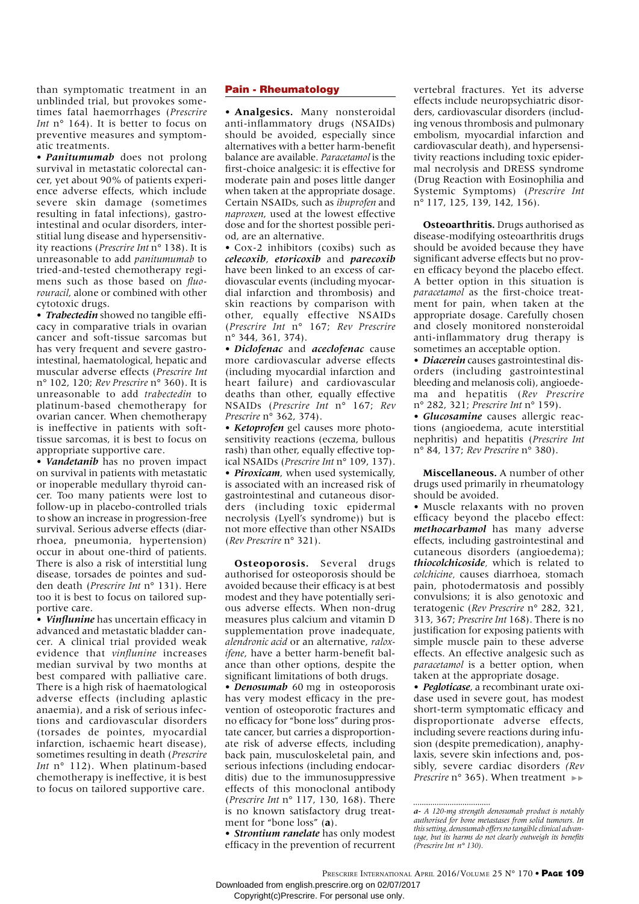than symptomatic treatment in an unblinded trial, but provokes sometimes fatal haemorrhages (*Prescrire Int* n° 164). It is better to focus on preventive measures and symptomatic treatments.

• *Panitumumab* does not prolong survival in metastatic colorectal cancer, yet about 90% of patients experience adverse effects, which include severe skin damage (sometimes resulting in fatal infections), gastrointestinal and ocular disorders, interstitial lung disease and hypersensitivity reactions (*Prescrire Int* n° 138). It is unreasonable to add *panitumumab* to tried-and-tested chemotherapy regimens such as those based on *fluorouracil*, alone or combined with other cytotoxic drugs.

• *Trabectedin* showed no tangible efficacy in comparative trials in ovarian cancer and soft-tissue sarcomas but has very frequent and severe gastrointestinal, haematological, hepatic and muscular adverse effects (*Prescrire Int*  n° 102, 120; *Rev Prescrire* n° 360). It is unreasonable to add *trabectedin* to platinum-based chemotherapy for ovarian cancer. When chemotherapy is ineffective in patients with softtissue sarcomas, it is best to focus on appropriate supportive care.

• *Vandetanib* has no proven impact on survival in patients with metastatic or inoperable medullary thyroid cancer. Too many patients were lost to follow-up in placebo-controlled trials to show an increase in progression-free survival. Serious adverse effects (diarrhoea, pneumonia, hypertension) occur in about one-third of patients. There is also a risk of interstitial lung disease, torsades de pointes and sudden death (*Prescrire Int* n° 131). Here too it is best to focus on tailored supportive care.

• *Vinflunine* has uncertain efficacy in advanced and metastatic bladder cancer. A clinical trial provided weak evidence that *vinflunine* increases median survival by two months at best compared with palliative care. There is a high risk of haematological adverse effects (including aplastic anaemia), and a risk of serious infections and cardiovascular disorders (torsades de pointes, myocardial infarction, ischaemic heart disease), sometimes resulting in death (*Prescrire Int* n° 112). When platinum-based chemotherapy is ineffective, it is best to focus on tailored supportive care.

#### Pain - Rheumatology

• **Analgesics.** Many nonsteroidal anti-inflammatory drugs (NSAIDs) should be avoided, especially since alternatives with a better harm-benefit balance are available. *Paracetamol* is the first-choice analgesic: it is effective for moderate pain and poses little danger when taken at the appropriate dosage. Certain NSAIDs, such as *ibuprofen* and *naproxen*, used at the lowest effective dose and for the shortest possible period, are an alternative.

• Cox-2 inhibitors (coxibs) such as *celecoxib*, *etoricoxib* and *parecoxib*  have been linked to an excess of cardiovascular events (including myocardial infarction and thrombosis) and skin reactions by comparison with other, equally effective NSAIDs (*Prescrire Int* n° 167; *Rev Prescrire* n° 344, 361, 374).

• *Diclofenac* and *aceclofenac* cause more cardiovascular adverse effects (including myocardial infarction and heart failure) and cardiovascular deaths than other, equally effective NSAIDs (*Prescrire Int* n° 167; *Rev Prescrire* n° 362, 374).

• *Ketoprofen* gel causes more photosensitivity reactions (eczema, bullous rash) than other, equally effective topical NSAIDs (*Prescrire Int* n° 109, 137). • *Piroxicam*, when used systemically, is associated with an increased risk of gastrointestinal and cutaneous disorders (including toxic epidermal necrolysis (Lyell's syndrome)) but is not more effective than other NSAIDs (*Rev Prescrire* n° 321).

**Osteoporosis.** Several drugs authorised for osteoporosis should be avoided because their efficacy is at best modest and they have potentially serious adverse effects. When non-drug measures plus calcium and vitamin D supplementation prove inadequate, *alendronic acid* or an alternative, *raloxifene*, have a better harm-benefit balance than other options, despite the significant limitations of both drugs.

• *Denosumab* 60 mg in osteoporosis has very modest efficacy in the prevention of osteoporotic fractures and no efficacy for "bone loss" during prostate cancer, but carries a disproportionate risk of adverse effects, including back pain, musculoskeletal pain, and serious infections (including endocarditis) due to the immunosuppressive effects of this monoclonal antibody (*Prescrire Int* n° 117, 130, 168). There is no known satisfactory drug treatment for "bone loss" (**a**).

• *Strontium ranelate* has only modest efficacy in the prevention of recurrent vertebral fractures. Yet its adverse effects include neuropsychiatric disorders, cardiovascular disorders (including venous thrombosis and pulmonary embolism, myocardial infarction and cardiovascular death), and hypersensitivity reactions including toxic epidermal necrolysis and DRESS syndrome (Drug Reaction with Eosinophilia and Systemic Symptoms) (*Prescrire Int* n° 117, 125, 139, 142, 156).

**Osteoarthritis.** Drugs authorised as disease-modifying osteoarthritis drugs should be avoided because they have significant adverse effects but no proven efficacy beyond the placebo effect. A better option in this situation is *paracetamol* as the first-choice treatment for pain, when taken at the appropriate dosage. Carefully chosen and closely monitored nonsteroidal anti-inflammatory drug therapy is sometimes an acceptable option.

• *Diacerein* causes gastrointestinal disorders (including gastrointestinal bleeding and melanosis coli), angioedema and hepatitis (*Rev Prescrire* n° 282, 321; *Prescrire Int* n° 159).

• *Glucosamine* causes allergic reactions (angioedema, acute interstitial nephritis) and hepatitis (*Prescrire Int* n° 84, 137; *Rev Prescrire* n° 380).

**Miscellaneous.** A number of other drugs used primarily in rheumatology should be avoided.

• Muscle relaxants with no proven efficacy beyond the placebo effect: *methocarbamol* has many adverse effects, including gastrointestinal and cutaneous disorders (angioedema); *thiocolchicoside,* which is related to *colchicine,* causes diarrhoea, stomach pain, photodermatosis and possibly convulsions; it is also genotoxic and teratogenic (*Rev Prescrire* n° 282, 321, 313, 367; *Prescrire Int* 168). There is no justification for exposing patients with simple muscle pain to these adverse effects. An effective analgesic such as *paracetamol* is a better option, when taken at the appropriate dosage.

• *Pegloticase*, a recombinant urate oxidase used in severe gout, has modest short-term symptomatic efficacy and disproportionate adverse effects, including severe reactions during infusion (despite premedication), anaphylaxis, severe skin infections and, possibly, severe cardiac disorders *(Rev Prescrire* n° 365). When treatment ►►

PRESCRIRE INTERNATIONAL APRIL 2016/VOLUME 25 N° 170 • PAGE 109

Downloaded from english.prescrire.org on 02/07/2017

*a- A 120-mg strength denosumab product is notably authorised for bone metastases from solid tumours. In this setting, denosumab offers no tangible clinical advantage, but its harms do not clearly outweigh its benefits (Prescrire Int n° 130).*

Copyright(c)Prescrire. For personal use only.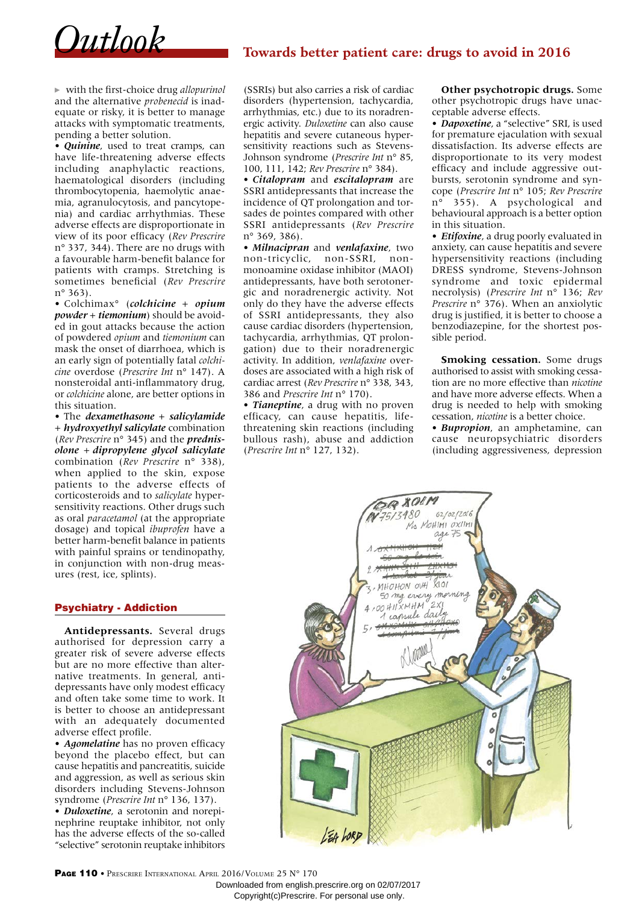# *Outlook* **Towards better patient care: drugs to avoid in 2016**

with the first-choice drug *allopurinol* and the alternative *probenecid* is inadequate or risky, it is better to manage attacks with symptomatic treatments, pending a better solution.

• *Quinine*, used to treat cramps, can have life-threatening adverse effects including anaphylactic reactions, haematological disorders (including thrombocytopenia, haemolytic anaemia, agranulocytosis, and pancytopenia) and cardiac arrhythmias. These adverse effects are disproportionate in view of its poor efficacy (*Rev Prescrire* n° 337, 344). There are no drugs with a favourable harm-benefit balance for patients with cramps. Stretching is sometimes beneficial (*Rev Prescrire* n° 363).

• Colchimax° (*colchicine* + *opium powder* + *tiemonium*) should be avoided in gout attacks because the action of powdered *opium* and *tiemonium* can mask the onset of diarrhoea, which is an early sign of potentially fatal *colchicine* overdose (*Prescrire Int* n° 147). A nonsteroidal anti-inflammatory drug, or *colchicine* alone, are better options in this situation.

• The *dexamethasone* + *salicylamide* + *hydroxyethyl salicylate* combination (*Rev Prescrire* n° 345) and the *prednisolone* + *dipropylene glycol salicylate* combination (*Rev Prescrire* n° 338), when applied to the skin, expose patients to the adverse effects of corticosteroids and to *salicylate* hypersensitivity reactions. Other drugs such as oral *paracetamol* (at the appropriate dosage) and topical *ibuprofen* have a better harm-benefit balance in patients with painful sprains or tendinopathy, in conjunction with non-drug measures (rest, ice, splints).

#### Psychiatry - Addiction

**Antidepressants.** Several drugs authorised for depression carry a greater risk of severe adverse effects but are no more effective than alternative treatments. In general, antidepressants have only modest efficacy and often take some time to work. It is better to choose an antidepressant with an adequately documented adverse effect profile.

• *Agomelatine* has no proven efficacy beyond the placebo effect, but can cause hepatitis and pancreatitis, suicide and aggression, as well as serious skin disorders including Stevens-Johnson syndrome (*Prescrire Int* n° 136, 137).

• *Duloxetine*, a serotonin and norepinephrine reuptake inhibitor, not only has the adverse effects of the so-called "selective" serotonin reuptake inhibitors (SSRIs) but also carries a risk of cardiac disorders (hypertension, tachycardia, arrhythmias, etc.) due to its noradrenergic activity. *Duloxetine* can also cause hepatitis and severe cutaneous hypersensitivity reactions such as Stevens-Johnson syndrome (*Prescrire Int* n° 85, 100, 111, 142; *Rev Prescrire* n° 384).

• *Citalopram* and *escitalopram* are SSRI antidepressants that increase the incidence of QT prolongation and torsades de pointes compared with other SSRI antidepressants (*Rev Prescrire*  n° 369, 386).

• *Milnacipran* and *venlafaxine*, two non-tricyclic, non-SSRI, nonmonoamine oxidase inhibitor (MAOI) antidepressants, have both serotonergic and noradrenergic activity. Not only do they have the adverse effects of SSRI antidepressants, they also cause cardiac disorders (hypertension, tachycardia, arrhythmias, QT prolongation) due to their noradrenergic activity. In addition, *venlafaxine* overdoses are associated with a high risk of cardiac arrest (*Rev Prescrire* n° 338, 343, 386 and *Prescrire Int* n° 170).

• *Tianeptine*, a drug with no proven efficacy, can cause hepatitis, lifethreatening skin reactions (including bullous rash), abuse and addiction (*Prescrire Int* n° 127, 132).

**Other psychotropic drugs.** Some other psychotropic drugs have unacceptable adverse effects.

• *Dapoxetine*, a "selective" SRI, is used for premature ejaculation with sexual dissatisfaction. Its adverse effects are disproportionate to its very modest efficacy and include aggressive outbursts, serotonin syndrome and syncope (*Prescrire Int* n° 105; *Rev Prescrire*  n° 355). A psychological and behavioural approach is a better option in this situation.

• *Etifoxine*, a drug poorly evaluated in anxiety, can cause hepatitis and severe hypersensitivity reactions (including DRESS syndrome, Stevens-Johnson syndrome and toxic epidermal necrolysis) (*Prescrire Int* n° 136; *Rev Prescrire* n° 376). When an anxiolytic drug is justified, it is better to choose a benzodiazepine, for the shortest possible period.

**Smoking cessation.** Some drugs authorised to assist with smoking cessation are no more effective than *nicotine* and have more adverse effects. When a drug is needed to help with smoking cessation, *nicotine* is a better choice.

• *Bupropion*, an amphetamine, can cause neuropsychiatric disorders (including aggressiveness, depression



PAGE 110 • PRESCRIRE INTERNATIONAL APRIL 2016/VOLUME 25 N° 170

Downloaded from english.prescrire.org on 02/07/2017 Copyright(c)Prescrire. For personal use only.